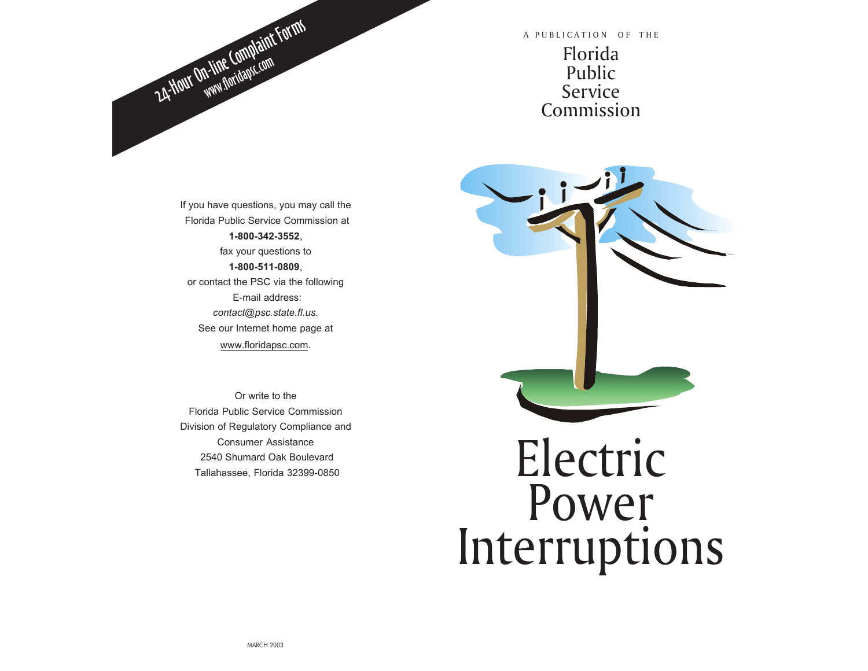

A PUBLICATION OF THE Florida Public Service Commission

If you have questions, you may call the Florida Public Service Commission at **1-800-342-3552**, fax your questions to **1-800-511-0809**, or contact the PSC via the following E-mail address: *contact@psc.state.fl.us.* See our Internet home page at www.floridapsc.com.

Or write to the Florida Public Service Commission Division of Regulatory Compliance and Consumer Assistance 2540 Shumard Oak Boulevard Tallahassee, Florida 32399-0850

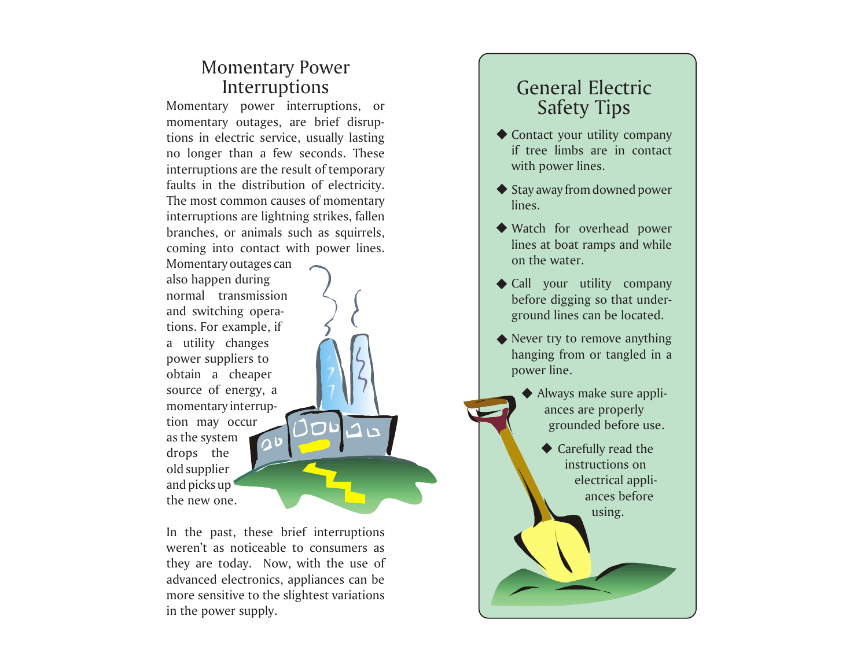## Momentary Power Interruptions

Momentary power interruptions, or momentary outages, are brief disruptions in electric service, usually lasting no longer than a few seconds. These interruptions are the result of temporary faults in the distribution of electricity. The most common causes of momentary interruptions are lightning strikes, fallen branches, or animals such as squirrels, coming into contact with power lines.

Momentary outages can also happen during normal transmission and switching operations. For example, if a utility changes power suppliers to obtain a cheaper source of energy, a momentary interruption may occur as the system drops the old supplier and picks up the new one.

In the past, these brief interruptions weren't as noticeable to consumers as they are today. Now, with the use of advanced electronics, appliances can be more sensitive to the slightest variations in the power supply.

## General Electric Safety Tips

- Contact your utility company if tree limbs are in contact with power lines.
- ◆ Stay away from downed power lines.
- Watch for overhead power lines at boat ramps and while on the water.
- Call your utility company before digging so that underground lines can be located.
- ◆ Never try to remove anything hanging from or tangled in a power line.
	- Always make sure appli ances are properly grounded before use.
		- ◆ Carefully read the instructions on electrical appli ances before using.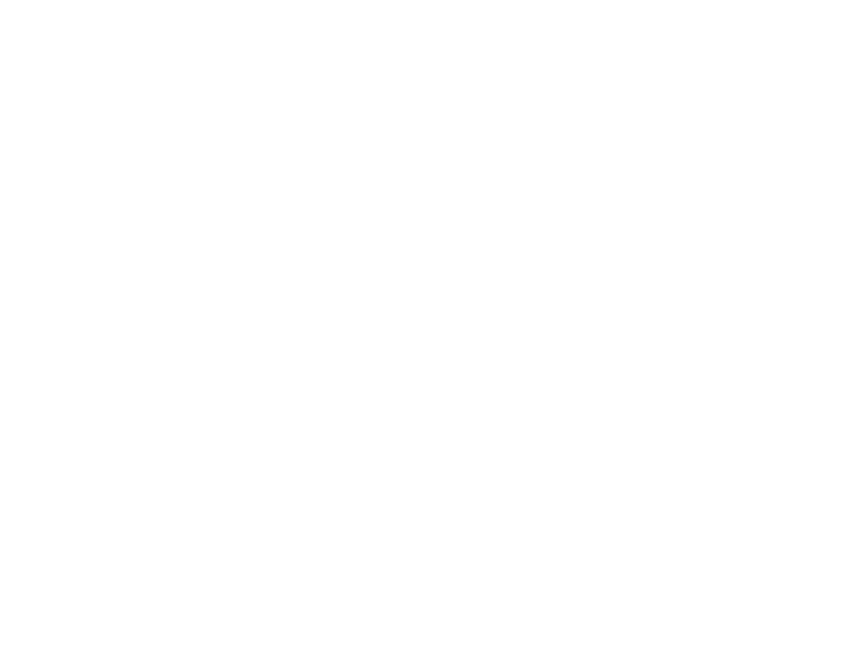